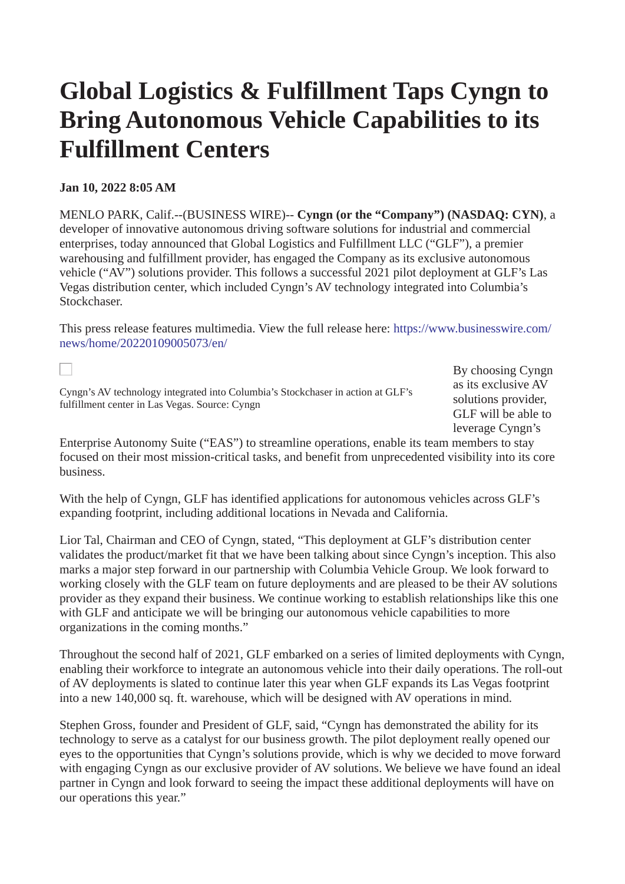# **Global Logistics & Fulfillment Taps Cyngn to Bring Autonomous Vehicle Capabilities to its Fulfillment Centers**

## **Jan 10, 2022 8:05 AM**

MENLO PARK, Calif.--(BUSINESS WIRE)-- **Cyngn (or the "Company") (NASDAQ: CYN)**, a developer of innovative autonomous driving software solutions for industrial and commercial enterprises, today announced that Global Logistics and Fulfillment LLC ("GLF"), a premier warehousing and fulfillment provider, has engaged the Company as its exclusive autonomous vehicle ("AV") solutions provider. This follows a successful 2021 pilot deployment at GLF's Las Vegas distribution center, which included Cyngn's AV technology integrated into Columbia's **Stockchaser** 

This press release features multimedia. View the full release here: [https://www.businesswire.com/](https://www.businesswire.com/news/home/20220109005073/en/) [news/home/20220109005073/en/](https://www.businesswire.com/news/home/20220109005073/en/)

Cyngn's AV technology integrated into Columbia's Stockchaser in action at GLF's fulfillment center in Las Vegas. Source: Cyngn

By choosing Cyngn as its exclusive AV solutions provider, GLF will be able to leverage Cyngn's

Enterprise Autonomy Suite ("EAS") to streamline operations, enable its team members to stay focused on their most mission-critical tasks, and benefit from unprecedented visibility into its core business.

With the help of Cyngn, GLF has identified applications for autonomous vehicles across GLF's expanding footprint, including additional locations in Nevada and California.

Lior Tal, Chairman and CEO of Cyngn, stated, "This deployment at GLF's distribution center validates the product/market fit that we have been talking about since Cyngn's inception. This also marks a major step forward in our partnership with Columbia Vehicle Group. We look forward to working closely with the GLF team on future deployments and are pleased to be their AV solutions provider as they expand their business. We continue working to establish relationships like this one with GLF and anticipate we will be bringing our autonomous vehicle capabilities to more organizations in the coming months."

Throughout the second half of 2021, GLF embarked on a series of limited deployments with Cyngn, enabling their workforce to integrate an autonomous vehicle into their daily operations. The roll-out of AV deployments is slated to continue later this year when GLF expands its Las Vegas footprint into a new 140,000 sq. ft. warehouse, which will be designed with AV operations in mind.

Stephen Gross, founder and President of GLF, said, "Cyngn has demonstrated the ability for its technology to serve as a catalyst for our business growth. The pilot deployment really opened our eyes to the opportunities that Cyngn's solutions provide, which is why we decided to move forward with engaging Cyngn as our exclusive provider of AV solutions. We believe we have found an ideal partner in Cyngn and look forward to seeing the impact these additional deployments will have on our operations this year."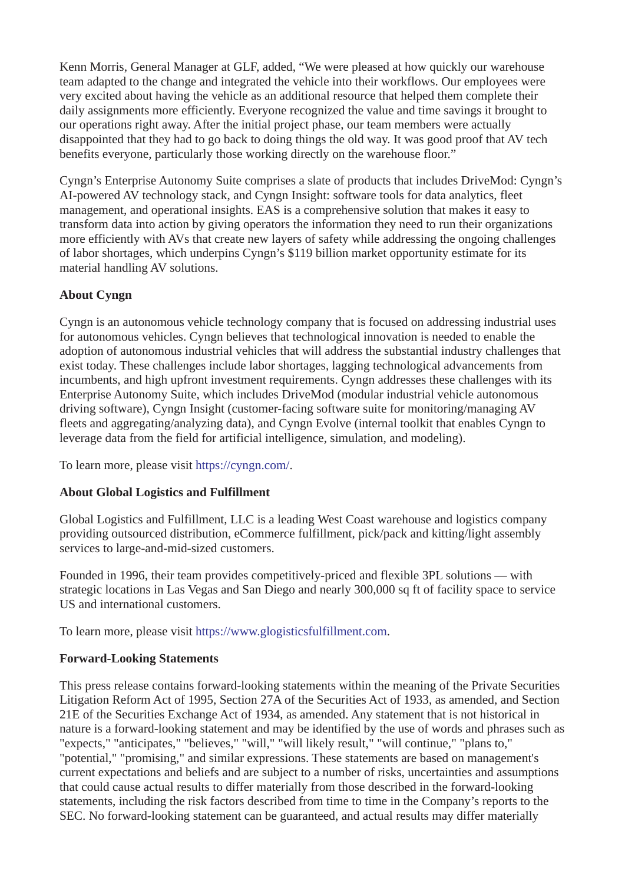Kenn Morris, General Manager at GLF, added, "We were pleased at how quickly our warehouse team adapted to the change and integrated the vehicle into their workflows. Our employees were very excited about having the vehicle as an additional resource that helped them complete their daily assignments more efficiently. Everyone recognized the value and time savings it brought to our operations right away. After the initial project phase, our team members were actually disappointed that they had to go back to doing things the old way. It was good proof that AV tech benefits everyone, particularly those working directly on the warehouse floor."

Cyngn's Enterprise Autonomy Suite comprises a slate of products that includes DriveMod: Cyngn's AI-powered AV technology stack, and Cyngn Insight: software tools for data analytics, fleet management, and operational insights. EAS is a comprehensive solution that makes it easy to transform data into action by giving operators the information they need to run their organizations more efficiently with AVs that create new layers of safety while addressing the ongoing challenges of labor shortages, which underpins Cyngn's \$119 billion market opportunity estimate for its material handling AV solutions.

## **About Cyngn**

Cyngn is an autonomous vehicle technology company that is focused on addressing industrial uses for autonomous vehicles. Cyngn believes that technological innovation is needed to enable the adoption of autonomous industrial vehicles that will address the substantial industry challenges that exist today. These challenges include labor shortages, lagging technological advancements from incumbents, and high upfront investment requirements. Cyngn addresses these challenges with its Enterprise Autonomy Suite, which includes DriveMod (modular industrial vehicle autonomous driving software), Cyngn Insight (customer-facing software suite for monitoring/managing AV fleets and aggregating/analyzing data), and Cyngn Evolve (internal toolkit that enables Cyngn to leverage data from the field for artificial intelligence, simulation, and modeling).

To learn more, please visit [https://cyngn.com/.](https://cts.businesswire.com/ct/CT?id=smartlink&url=https%3A%2F%2Fcyngn.com%2F&esheet=52560099&newsitemid=20220109005073&lan=en-US&anchor=https%3A%2F%2Fcyngn.com%2F&index=1&md5=46ea0f8ea8b88080d07cc667be5f518e)

### **About Global Logistics and Fulfillment**

Global Logistics and Fulfillment, LLC is a leading West Coast warehouse and logistics company providing outsourced distribution, eCommerce fulfillment, pick/pack and kitting/light assembly services to large-and-mid-sized customers.

Founded in 1996, their team provides competitively-priced and flexible 3PL solutions — with strategic locations in Las Vegas and San Diego and nearly 300,000 sq ft of facility space to service US and international customers.

To learn more, please visit [https://www.glogisticsfulfillment.com.](https://cts.businesswire.com/ct/CT?id=smartlink&url=https%3A%2F%2Fwww.glogisticsfulfillment.com&esheet=52560099&newsitemid=20220109005073&lan=en-US&anchor=https%3A%2F%2Fwww.glogisticsfulfillment.com&index=2&md5=e3464427104d12959ff6b35caccca93d)

### **Forward-Looking Statements**

This press release contains forward-looking statements within the meaning of the Private Securities Litigation Reform Act of 1995, Section 27A of the Securities Act of 1933, as amended, and Section 21E of the Securities Exchange Act of 1934, as amended. Any statement that is not historical in nature is a forward-looking statement and may be identified by the use of words and phrases such as "expects," "anticipates," "believes," "will," "will likely result," "will continue," "plans to," "potential," "promising," and similar expressions. These statements are based on management's current expectations and beliefs and are subject to a number of risks, uncertainties and assumptions that could cause actual results to differ materially from those described in the forward-looking statements, including the risk factors described from time to time in the Company's reports to the SEC. No forward-looking statement can be guaranteed, and actual results may differ materially